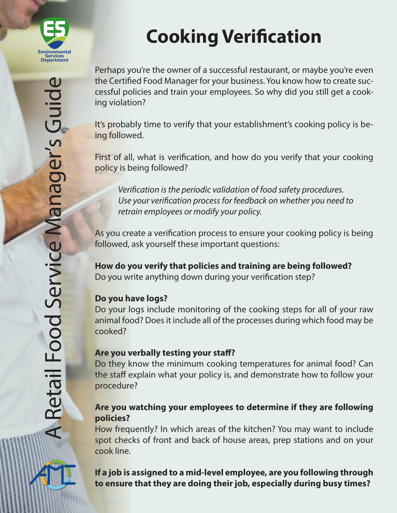

# **Cooking Verification**

Perhaps you're the owner of a successful restaurant, or maybe you're even the Certified Food Manager for your business. You know how to create successful policies and train your employees. So why did you still get a cooking violation?

It's probably time to verify that your establishment's cooking policy is being followed.

First of all, what is verification, and how do you verify that your cooking policy is being followed?

*Verification is the periodic validation of food safety procedures. Use your verification process for feedback on whether you need to retrain employees or modify your policy.*

As you create a verification process to ensure your cooking policy is being followed, ask yourself these important questions:

**How do you verify that policies and training are being followed?**  Do you write anything down during your verification step?

# **Do you have logs?**

Do your logs include monitoring of the cooking steps for all of your raw animal food? Does it include all of the processes during which food may be cooked?

#### **Are you verbally testing your staff?**

Do they know the minimum cooking temperatures for animal food? Can the staff explain what your policy is, and demonstrate how to follow your procedure?

### **Are you watching your employees to determine if they are following policies?**

How frequently? In which areas of the kitchen? You may want to include spot checks of front and back of house areas, prep stations and on your cook line.

**If a job is assigned to a mid-level employee, are you following through to ensure that they are doing their job, especially during busy times?**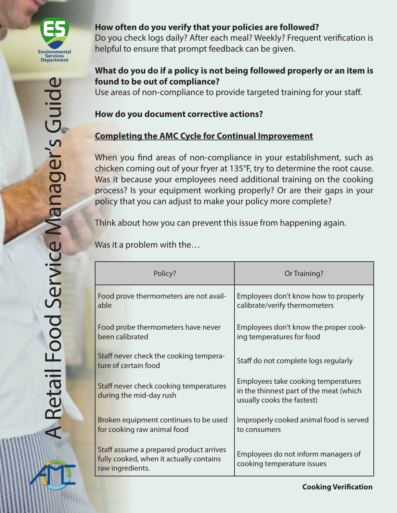

## **How often do you verify that your policies are followed?**

Do you check logs daily? After each meal? Weekly? Frequent verification is helpful to ensure that prompt feedback can be given.

## **What do you do if a policy is not being followed properly or an item is found to be out of compliance?**

Use areas of non-compliance to provide targeted training for your staff.

### **How do you document corrective actions?**

# **Completing the AMC Cycle for Continual Improvement**

When you find areas of non-compliance in your establishment, such as chicken coming out of your fryer at 135°F, try to determine the root cause. Was it because your employees need additional training on the cooking process? Is your equipment working properly? Or are their gaps in your policy that you can adjust to make your policy more complete?

Think about how you can prevent this issue from happening again.

Was it a problem with the…

| Policy?                                                                                                | Or Training?                                                                                                 |
|--------------------------------------------------------------------------------------------------------|--------------------------------------------------------------------------------------------------------------|
| Food prove thermometers are not avail-<br>able                                                         | Employees don't know how to properly<br>calibrate/verify thermometers                                        |
| Food probe thermometers have never<br>been calibrated                                                  | Employees don't know the proper cook-<br>ing temperatures for food                                           |
| Staff never check the cooking tempera-<br>ture of certain food                                         | Staff do not complete logs regularly                                                                         |
| Staff never check cooking temperatures<br>during the mid-day rush                                      | Employees take cooking temperatures<br>in the thinnest part of the meat (which<br>usually cooks the fastest) |
| Broken equipment continues to be used<br>for cooking raw animal food                                   | Improperly cooked animal food is served<br>to consumers                                                      |
| Staff assume a prepared product arrives<br>fully cooked, when it actually contains<br>raw ingredients. | Employees do not inform managers of<br>cooking temperature issues                                            |

**Cooking Verification**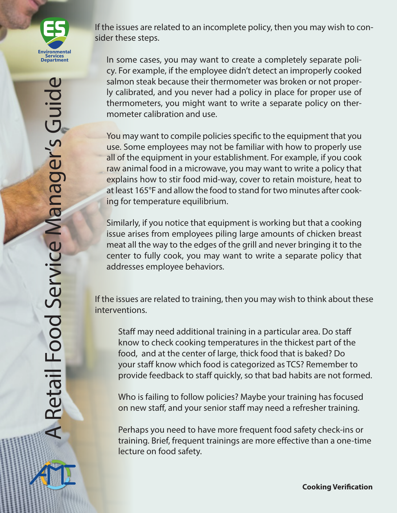

If the issues are related to an incomplete policy, then you may wish to consider these steps.

In some cases, you may want to create a completely separate policy. For example, if the employee didn't detect an improperly cooked salmon steak because their thermometer was broken or not properly calibrated, and you never had a policy in place for proper use of thermometers, you might want to write a separate policy on thermometer calibration and use.

You may want to compile policies specific to the equipment that you use. Some employees may not be familiar with how to properly use all of the equipment in your establishment. For example, if you cook raw animal food in a microwave, you may want to write a policy that explains how to stir food mid-way, cover to retain moisture, heat to at least 165°F and allow the food to stand for two minutes after cooking for temperature equilibrium.

Similarly, if you notice that equipment is working but that a cooking issue arises from employees piling large amounts of chicken breast meat all the way to the edges of the grill and never bringing it to the center to fully cook, you may want to write a separate policy that addresses employee behaviors.

If the issues are related to training, then you may wish to think about these interventions.

Staff may need additional training in a particular area. Do staff know to check cooking temperatures in the thickest part of the food, and at the center of large, thick food that is baked? Do your staff know which food is categorized as TCS? Remember to provide feedback to staff quickly, so that bad habits are not formed.

Who is failing to follow policies? Maybe your training has focused on new staff, and your senior staff may need a refresher training.

Perhaps you need to have more frequent food safety check-ins or training. Brief, frequent trainings are more effective than a one-time lecture on food safety.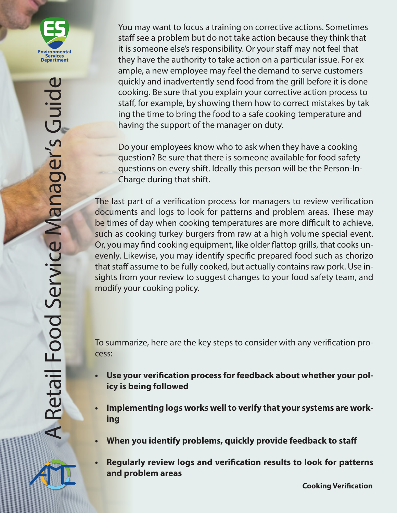

You may want to focus a training on corrective actions. Sometimes staff see a problem but do not take action because they think that it is someone else's responsibility. Or your staff may not feel that they have the authority to take action on a particular issue. For ex ample, a new employee may feel the demand to serve customers quickly and inadvertently send food from the grill before it is done cooking. Be sure that you explain your corrective action process to staff, for example, by showing them how to correct mistakes by tak ing the time to bring the food to a safe cooking temperature and having the support of the manager on duty.

Do your employees know who to ask when they have a cooking question? Be sure that there is someone available for food safety questions on every shift. Ideally this person will be the Person-In-Charge during that shift.

The last part of a verification process for managers to review verification documents and logs to look for patterns and problem areas. These may be times of day when cooking temperatures are more difficult to achieve, such as cooking turkey burgers from raw at a high volume special event. Or, you may find cooking equipment, like older flattop grills, that cooks unevenly. Likewise, you may identify specific prepared food such as chorizo that staff assume to be fully cooked, but actually contains raw pork. Use insights from your review to suggest changes to your food safety team, and modify your cooking policy.

To summarize, here are the key steps to consider with any verification process:

- **• Use your verification process for feedback about whether your policy is being followed**
- **• Implementing logs works well to verify that your systems are working**
- **• When you identify problems, quickly provide feedback to staff**
- **• Regularly review logs and verification results to look for patterns and problem areas**